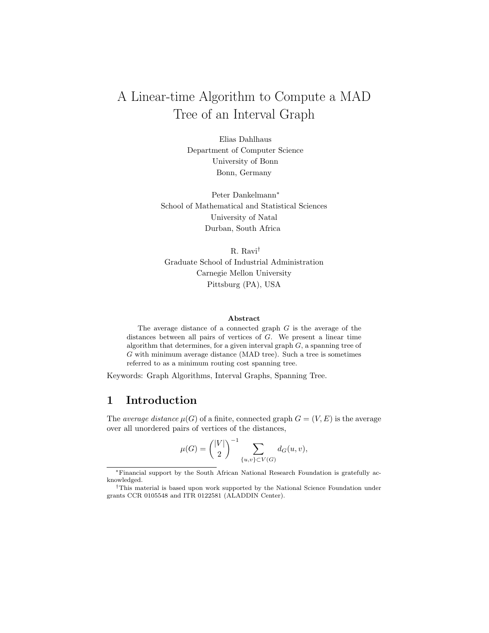# A Linear-time Algorithm to Compute a MAD Tree of an Interval Graph

Elias Dahlhaus Department of Computer Science University of Bonn Bonn, Germany

Peter Dankelmann<sup>∗</sup> School of Mathematical and Statistical Sciences University of Natal Durban, South Africa

R. Ravi† Graduate School of Industrial Administration Carnegie Mellon University Pittsburg (PA), USA

#### Abstract

The average distance of a connected graph G is the average of the distances between all pairs of vertices of G. We present a linear time algorithm that determines, for a given interval graph  $G$ , a spanning tree of G with minimum average distance (MAD tree). Such a tree is sometimes referred to as a minimum routing cost spanning tree.

Keywords: Graph Algorithms, Interval Graphs, Spanning Tree.

# 1 Introduction

The *average distance*  $\mu(G)$  of a finite, connected graph  $G = (V, E)$  is the average over all unordered pairs of vertices of the distances,

$$
\mu(G) = {\binom{|V|}{2}}^{-1} \sum_{\{u,v\} \subset V(G)} d_G(u,v),
$$

<sup>∗</sup>Financial support by the South African National Research Foundation is gratefully acknowledged.

<sup>†</sup>This material is based upon work supported by the National Science Foundation under grants CCR 0105548 and ITR 0122581 (ALADDIN Center).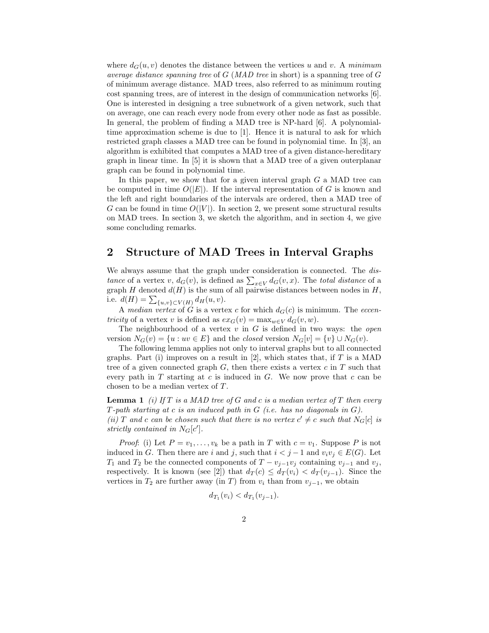where  $d_G(u, v)$  denotes the distance between the vertices u and v. A minimum average distance spanning tree of  $G$  (MAD tree in short) is a spanning tree of  $G$ of minimum average distance. MAD trees, also referred to as minimum routing cost spanning trees, are of interest in the design of communication networks [6]. One is interested in designing a tree subnetwork of a given network, such that on average, one can reach every node from every other node as fast as possible. In general, the problem of finding a MAD tree is NP-hard [6]. A polynomialtime approximation scheme is due to [1]. Hence it is natural to ask for which restricted graph classes a MAD tree can be found in polynomial time. In [3], an algorithm is exhibited that computes a MAD tree of a given distance-hereditary graph in linear time. In [5] it is shown that a MAD tree of a given outerplanar graph can be found in polynomial time.

In this paper, we show that for a given interval graph  $G$  a MAD tree can be computed in time  $O(|E|)$ . If the interval representation of G is known and the left and right boundaries of the intervals are ordered, then a MAD tree of G can be found in time  $O(|V|)$ . In section 2, we present some structural results on MAD trees. In section 3, we sketch the algorithm, and in section 4, we give some concluding remarks.

#### 2 Structure of MAD Trees in Interval Graphs

We always assume that the graph under consideration is connected. The distance of a vertex v,  $d_G(v)$ , is defined as  $\sum_{x \in V} d_G(v, x)$ . The total distance of a graph H denoted  $d(H)$  is the sum of all pairwise distances between nodes in H, i.e.  $d(H) = \sum_{\{u,v\} \subset V(H)} d_H(u, v)$ .

A median vertex of G is a vertex c for which  $d_G(c)$  is minimum. The eccen*tricity* of a vertex v is defined as  $ex_G(v) = \max_{w \in V} d_G(v, w)$ .

The neighbourhood of a vertex  $v$  in  $G$  is defined in two ways: the *open* version  $N_G(v) = \{u : uv \in E\}$  and the *closed* version  $N_G[v] = \{v\} \cup N_G(v)$ .

The following lemma applies not only to interval graphs but to all connected graphs. Part (i) improves on a result in  $[2]$ , which states that, if T is a MAD tree of a given connected graph  $G$ , then there exists a vertex  $c$  in  $T$  such that every path in  $T$  starting at  $c$  is induced in  $G$ . We now prove that  $c$  can be chosen to be a median vertex of T.

**Lemma 1** (i) If T is a MAD tree of G and c is a median vertex of T then every T-path starting at c is an induced path in  $G$  (i.e. has no diagonals in  $G$ ). (ii) T and c can be chosen such that there is no vertex  $c' \neq c$  such that  $N_G[c]$  is strictly contained in  $N_G[c']$ .

*Proof*: (i) Let  $P = v_1, \ldots, v_k$  be a path in T with  $c = v_1$ . Suppose P is not induced in G. Then there are i and j, such that  $i < j - 1$  and  $v_i v_j \in E(G)$ . Let  $T_1$  and  $T_2$  be the connected components of  $T - v_{j-1}v_j$  containing  $v_{j-1}$  and  $v_j$ , respectively. It is known (see [2]) that  $d_T(c) \leq d_T(v_i) < d_T(v_{i-1})$ . Since the vertices in  $T_2$  are further away (in T) from  $v_i$  than from  $v_{j-1}$ , we obtain

$$
d_{T_1}(v_i) < d_{T_1}(v_{j-1}).
$$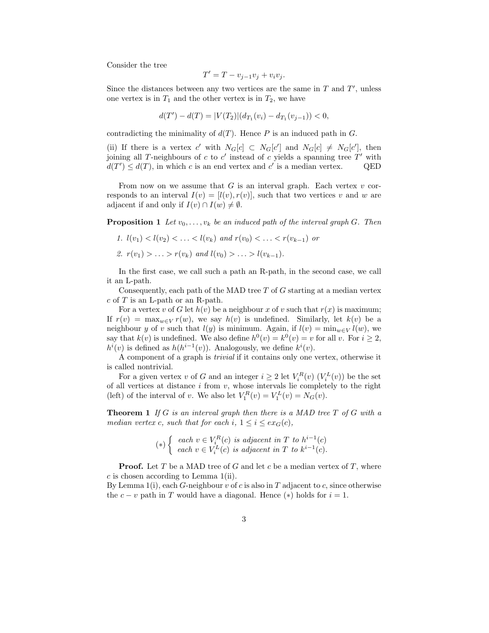Consider the tree

$$
T' = T - v_{j-1}v_j + v_iv_j.
$$

Since the distances between any two vertices are the same in  $T$  and  $T'$ , unless one vertex is in  $T_1$  and the other vertex is in  $T_2$ , we have

$$
d(T') - d(T) = |V(T_2)|(d_{T_1}(v_i) - d_{T_1}(v_{j-1})) < 0,
$$

contradicting the minimality of  $d(T)$ . Hence P is an induced path in G.

(ii) If there is a vertex c' with  $N_G[c] \subset N_G[c']$  and  $N_G[c] \neq N_G[c']$ , then joining all T-neighbours of  $c$  to  $c'$  instead of  $c$  yields a spanning tree  $T'$  with  $d(T') \leq d(T)$ , in which c is an end vertex and c' is a median vertex. QED

From now on we assume that  $G$  is an interval graph. Each vertex  $v$  corresponds to an interval  $I(v) = [l(v), r(v)]$ , such that two vertices v and w are adjacent if and only if  $I(v) \cap I(w) \neq \emptyset$ .

**Proposition 1** Let  $v_0, \ldots, v_k$  be an induced path of the interval graph G. Then

- 1.  $l(v_1) < l(v_2) < \ldots < l(v_k)$  and  $r(v_0) < \ldots < r(v_{k-1})$  or
- 2.  $r(v_1) > ... > r(v_k)$  and  $l(v_0) > ... > l(v_{k-1})$ .

In the first case, we call such a path an R-path, in the second case, we call it an L-path.

Consequently, each path of the MAD tree  $T$  of  $G$  starting at a median vertex  $c$  of  $T$  is an L-path or an R-path.

For a vertex v of G let  $h(v)$  be a neighbour x of v such that  $r(x)$  is maximum; If  $r(v) = \max_{w \in V} r(w)$ , we say  $h(v)$  is undefined. Similarly, let  $k(v)$  be a neighbour y of v such that  $l(y)$  is minimum. Again, if  $l(v) = \min_{w \in V} l(w)$ , we say that  $k(v)$  is undefined. We also define  $h^0(v) = k^0(v) = v$  for all v. For  $i \geq 2$ ,  $h^{i}(v)$  is defined as  $h(h^{i-1}(v))$ . Analogously, we define  $k^{i}(v)$ .

A component of a graph is trivial if it contains only one vertex, otherwise it is called nontrivial.

For a given vertex v of G and an integer  $i \geq 2$  let  $V_i^R(v)$   $(V_i^L(v))$  be the set of all vertices at distance  $i$  from  $v$ , whose intervals lie completely to the right (left) of the interval of v. We also let  $V_1^R(v) = V_1^L(v) = N_G(v)$ .

**Theorem 1** If G is an interval graph then there is a MAD tree T of G with a median vertex c, such that for each i,  $1 \leq i \leq ex_G(c)$ ,

$$
(*) \begin{cases} each \ v \in V_i^R(c) \ is \ adjacent \ in \ T \ to \ h^{i-1}(c) \\ each \ v \in V_i^L(c) \ is \ adjacent \ in \ T \ to \ k^{i-1}(c). \end{cases}
$$

**Proof.** Let T be a MAD tree of G and let c be a median vertex of T, where c is chosen according to Lemma 1(ii).

By Lemma 1(i), each G-neighbour v of c is also in T adjacent to c, since otherwise the  $c - v$  path in T would have a diagonal. Hence  $(*)$  holds for  $i = 1$ .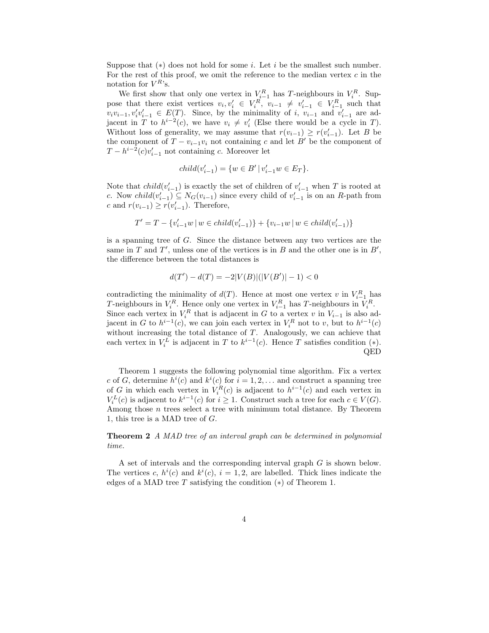Suppose that  $(*)$  does not hold for some *i*. Let *i* be the smallest such number. For the rest of this proof, we omit the reference to the median vertex  $c$  in the notation for  $V^{R}$ 's.

We first show that only one vertex in  $V_{i-1}^R$  has T-neighbours in  $V_i^R$ . Suppose that there exist vertices  $v_i, v'_i \in V_i^R$ ,  $v_{i-1} \neq v'_{i-1} \in V_{i-1}^R$  such that  $v_i v_{i-1}, v'_i v'_{i-1} \in E(T)$ . Since, by the minimality of i,  $v_{i-1}$  and  $v'_{i-1}$  are adjacent in T to  $h^{i-2}(c)$ , we have  $v_i \neq v'_i$  (Else there would be a cycle in T). Without loss of generality, we may assume that  $r(v_{i-1}) \geq r(v'_{i-1})$ . Let B be the component of  $T - v_{i-1}v_i$  not containing c and let B' be the component of  $T - h^{i-2}(c)v'_{i-1}$  not containing c. Moreover let

$$
child(v_{i-1}') = \{ w \in B' \, | \, v_{i-1}' w \in E_T \}.
$$

Note that  $child(v'_{i-1})$  is exactly the set of children of  $v'_{i-1}$  when T is rooted at c. Now  $child(v'_{i-1}) \subseteq N_G(v_{i-1})$  since every child of  $v'_{i-1}$  is on an R-path from c and  $r(v_{i-1}) \ge r(v'_{i-1})$ . Therefore,

$$
T'=T-\{v'_{i-1}w\,|\, w\in child(v'_{i-1})\}+\{v_{i-1}w\,|\, w\in child(v'_{i-1})\}
$$

is a spanning tree of G. Since the distance between any two vertices are the same in  $T$  and  $T'$ , unless one of the vertices is in  $B$  and the other one is in  $B'$ , the difference between the total distances is

$$
d(T') - d(T) = -2|V(B)|(|V(B')| - 1) < 0
$$

contradicting the minimality of  $d(T)$ . Hence at most one vertex v in  $V_{i-1}^R$  has T-neighbours in  $V_i^R$ . Hence only one vertex in  $V_{i-1}^R$  has T-neighbours in  $V_i^R$ . Since each vertex in  $V_i^R$  that is adjacent in G to a vertex v in  $V_{i-1}$  is also adjacent in G to  $h^{i-1}(c)$ , we can join each vertex in  $V_i^R$  not to v, but to  $h^{i-1}(c)$ without increasing the total distance of  $T$ . Analogously, we can achieve that each vertex in  $V_i^L$  is adjacent in T to  $k^{i-1}(c)$ . Hence T satisfies condition (\*). QED

Theorem 1 suggests the following polynomial time algorithm. Fix a vertex c of G, determine  $h^{i}(c)$  and  $k^{i}(c)$  for  $i = 1, 2, \ldots$  and construct a spanning tree of G in which each vertex in  $V_i^R(c)$  is adjacent to  $h^{i-1}(c)$  and each vertex in  $V_i^L(c)$  is adjacent to  $k^{i-1}(c)$  for  $i \geq 1$ . Construct such a tree for each  $c \in V(G)$ . Among those  $n$  trees select a tree with minimum total distance. By Theorem 1, this tree is a MAD tree of G.

Theorem 2 A MAD tree of an interval graph can be determined in polynomial time.

A set of intervals and the corresponding interval graph G is shown below. The vertices c,  $h^{i}(c)$  and  $k^{i}(c)$ ,  $i = 1, 2$ , are labelled. Thick lines indicate the edges of a MAD tree  $T$  satisfying the condition  $(*)$  of Theorem 1.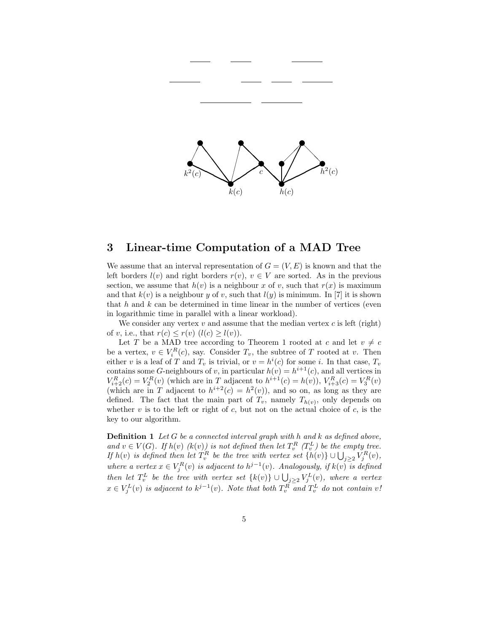

### 3 Linear-time Computation of a MAD Tree

We assume that an interval representation of  $G = (V, E)$  is known and that the left borders  $l(v)$  and right borders  $r(v)$ ,  $v \in V$  are sorted. As in the previous section, we assume that  $h(v)$  is a neighbour x of v, such that  $r(x)$  is maximum and that  $k(v)$  is a neighbour y of v, such that  $l(y)$  is minimum. In [7] it is shown that  $h$  and  $k$  can be determined in time linear in the number of vertices (even in logarithmic time in parallel with a linear workload).

We consider any vertex  $v$  and assume that the median vertex  $c$  is left (right) of v, i.e., that  $r(c) \leq r(v)$   $(l(c) \geq l(v))$ .

Let T be a MAD tree according to Theorem 1 rooted at c and let  $v \neq c$ be a vertex,  $v \in V_i^R(c)$ , say. Consider  $T_v$ , the subtree of T rooted at v. Then either v is a leaf of T and  $T_v$  is trivial, or  $v = h^i(c)$  for some i. In that case,  $T_v$ contains some G-neighbours of v, in particular  $h(v) = h^{i+1}(c)$ , and all vertices in  $V_{i+2}^{R}(c) = V_2^{R}(v)$  (which are in T adjacent to  $h^{i+1}(c) = h(v)$ ),  $V_{i+3}^{R}(c) = V_3^{R}(v)$ (which are in T adjacent to  $h^{i+2}(c) = h^2(v)$ ), and so on, as long as they are defined. The fact that the main part of  $T_v$ , namely  $T_{h(v)}$ , only depends on whether  $v$  is to the left or right of  $c$ , but not on the actual choice of  $c$ , is the key to our algorithm.

**Definition 1** Let G be a connected interval graph with h and k as defined above, and  $v \in V(G)$ . If  $h(v)$   $(k(v))$  is not defined then let  $T_v^R$   $(T_v^L)$  be the empty tree. If  $h(v)$  is defined then let  $T_v^R$  be the tree with vertex set  $\{h(v)\} \cup \bigcup_{j\geq 2} V_j^R(v)$ , where a vertex  $x \in V_j^R(v)$  is adjacent to  $h^{j-1}(v)$ . Analogously, if  $k(v)$  is defined then let  $T_v^L$  be the tree with vertex set  $\{k(v)\} \cup \bigcup_{j\geq 2} V_j^L(v)$ , where a vertex  $x \in V_j^L(v)$  is adjacent to  $k^{j-1}(v)$ . Note that both  $T_v^R$  and  $T_v^L$  do not contain  $v$ !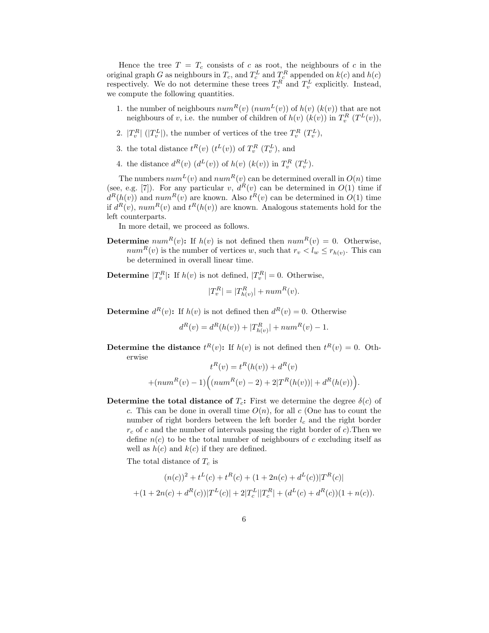Hence the tree  $T = T_c$  consists of c as root, the neighbours of c in the original graph G as neighbours in  $T_c$ , and  $T_c^L$  and  $T_c^R$  appended on  $k(c)$  and  $h(c)$ respectively. We do not determine these trees  $T_v^R$  and  $T_v^L$  explicitly. Instead, we compute the following quantities.

- 1. the number of neighbours  $num^R(v)$   $(num^L(v))$  of  $h(v)$   $(k(v))$  that are not neighbours of v, i.e. the number of children of  $h(v)$   $(k(v))$  in  $T_v^R$   $(T^L(v))$ ,
- 2.  $|T_v^R|$  ( $|T_v^L|$ ), the number of vertices of the tree  $T_v^R$   $(T_v^L)$ ,
- 3. the total distance  $t^R(v)$   $(t^L(v))$  of  $T_v^R$   $(T_v^L)$ , and
- 4. the distance  $d^R(v)$   $(d^L(v))$  of  $h(v)$   $(k(v))$  in  $T_v^R$   $(T_v^L)$ .

The numbers  $num^L(v)$  and  $num^R(v)$  can be determined overall in  $O(n)$  time (see, e.g. [7]). For any particular v,  $d^{R}(v)$  can be determined in  $O(1)$  time if  $d^{R}(h(v))$  and  $num^{R}(v)$  are known. Also  $t^{R}(v)$  can be determined in  $O(1)$  time if  $d^R(v)$ ,  $num^R(v)$  and  $t^R(h(v))$  are known. Analogous statements hold for the left counterparts.

In more detail, we proceed as follows.

**Determine**  $num^R(v)$ : If  $h(v)$  is not defined then  $num^R(v) = 0$ . Otherwise,  $num^R(v)$  is the number of vertices w, such that  $r_v < l_w \le r_{h(v)}$ . This can be determined in overall linear time.

**Determine**  $|T_v^R|$ : If  $h(v)$  is not defined,  $|T_v^R| = 0$ . Otherwise,

$$
|T_v^R| = |T_{h(v)}^R| + num^R(v).
$$

**Determine**  $d^R(v)$ : If  $h(v)$  is not defined then  $d^R(v) = 0$ . Otherwise

$$
d^{R}(v) = d^{R}(h(v)) + |T^{R}_{h(v)}| + num^{R}(v) - 1.
$$

**Determine the distance**  $t^{R}(v)$ : If  $h(v)$  is not defined then  $t^{R}(v) = 0$ . Otherwise

$$
t^{R}(v) = t^{R}(h(v)) + d^{R}(v)
$$

$$
+ (num^{R}(v) - 1) ((num^{R}(v) - 2) + 2|T^{R}(h(v))| + d^{R}(h(v)))
$$

.

Determine the total distance of  $T_c$ : First we determine the degree  $\delta(c)$  of c. This can be done in overall time  $O(n)$ , for all c (One has to count the number of right borders between the left border  $l_c$  and the right border  $r_c$  of c and the number of intervals passing the right border of c). Then we define  $n(c)$  to be the total number of neighbours of c excluding itself as well as  $h(c)$  and  $k(c)$  if they are defined.

The total distance of  $T_c$  is

$$
(n(c))^2 + t^L(c) + t^R(c) + (1 + 2n(c) + d^L(c))|T^R(c)|
$$
  
+
$$
(1 + 2n(c) + d^R(c))|T^L(c)| + 2|T_c^L||T_c^R| + (d^L(c) + d^R(c))(1 + n(c)).
$$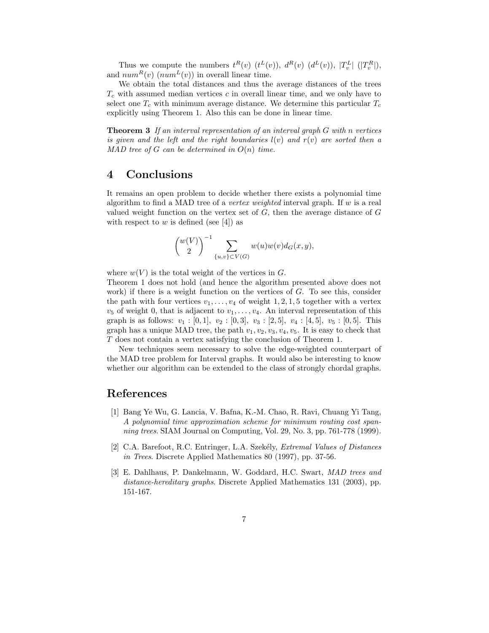Thus we compute the numbers  $t^R(v)$   $(t^L(v))$ ,  $d^R(v)$   $(d^L(v))$ ,  $|T_v^L|$   $(|T_v^R|)$ , and  $num^R(v)$  ( $num^L(v)$ ) in overall linear time.

We obtain the total distances and thus the average distances of the trees  $T_c$  with assumed median vertices  $c$  in overall linear time, and we only have to select one  $T_c$  with minimum average distance. We determine this particular  $T_c$ explicitly using Theorem 1. Also this can be done in linear time.

Theorem 3 If an interval representation of an interval graph G with n vertices is given and the left and the right boundaries  $l(v)$  and  $r(v)$  are sorted then a MAD tree of  $G$  can be determined in  $O(n)$  time.

## 4 Conclusions

It remains an open problem to decide whether there exists a polynomial time algorithm to find a MAD tree of a *vertex weighted* interval graph. If w is a real valued weight function on the vertex set of  $G$ , then the average distance of  $G$ with respect to w is defined (see  $|4|$ ) as

$$
\binom{w(V)}{2}^{-1}\sum_{\{u,v\}\subset V(G)}w(u)w(v)d_G(x,y),
$$

where  $w(V)$  is the total weight of the vertices in G.

Theorem 1 does not hold (and hence the algorithm presented above does not work) if there is a weight function on the vertices of G. To see this, consider the path with four vertices  $v_1, \ldots, v_4$  of weight 1, 2, 1, 5 together with a vertex  $v_5$  of weight 0, that is adjacent to  $v_1, \ldots, v_4$ . An interval representation of this graph is as follows:  $v_1 : [0,1], v_2 : [0,3], v_3 : [2,5], v_4 : [4,5], v_5 : [0,5].$  This graph has a unique MAD tree, the path  $v_1, v_2, v_3, v_4, v_5$ . It is easy to check that T does not contain a vertex satisfying the conclusion of Theorem 1.

New techniques seem necessary to solve the edge-weighted counterpart of the MAD tree problem for Interval graphs. It would also be interesting to know whether our algorithm can be extended to the class of strongly chordal graphs.

#### References

- [1] Bang Ye Wu, G. Lancia, V. Bafna, K.-M. Chao, R. Ravi, Chuang Yi Tang, A polynomial time approximation scheme for minimum routing cost spanning trees. SIAM Journal on Computing, Vol. 29, No. 3, pp. 761-778 (1999).
- [2] C.A. Barefoot, R.C. Entringer, L.A. Szekély, Extremal Values of Distances in Trees. Discrete Applied Mathematics 80 (1997), pp. 37-56.
- [3] E. Dahlhaus, P. Dankelmann, W. Goddard, H.C. Swart, MAD trees and distance-hereditary graphs. Discrete Applied Mathematics 131 (2003), pp. 151-167.